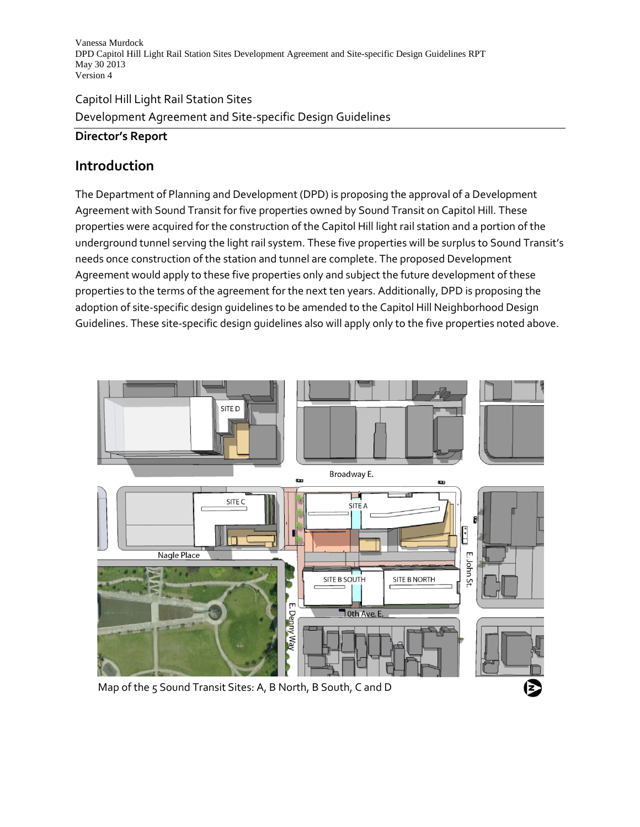# Capitol Hill Light Rail Station Sites Development Agreement and Site-specific Design Guidelines

## **Director's Report**

## **Introduction**

The Department of Planning and Development (DPD) is proposing the approval of a Development Agreement with Sound Transit for five properties owned by Sound Transit on Capitol Hill. These properties were acquired for the construction of the Capitol Hill light rail station and a portion of the underground tunnel serving the light rail system. These five properties will be surplus to Sound Transit's needs once construction of the station and tunnel are complete. The proposed Development Agreement would apply to these five properties only and subject the future development of these properties to the terms of the agreement for the next ten years. Additionally, DPD is proposing the adoption of site-specific design guidelines to be amended to the Capitol Hill Neighborhood Design Guidelines. These site-specific design guidelines also will apply only to the five properties noted above.



Map of the 5 Sound Transit Sites: A, B North, B South, C and D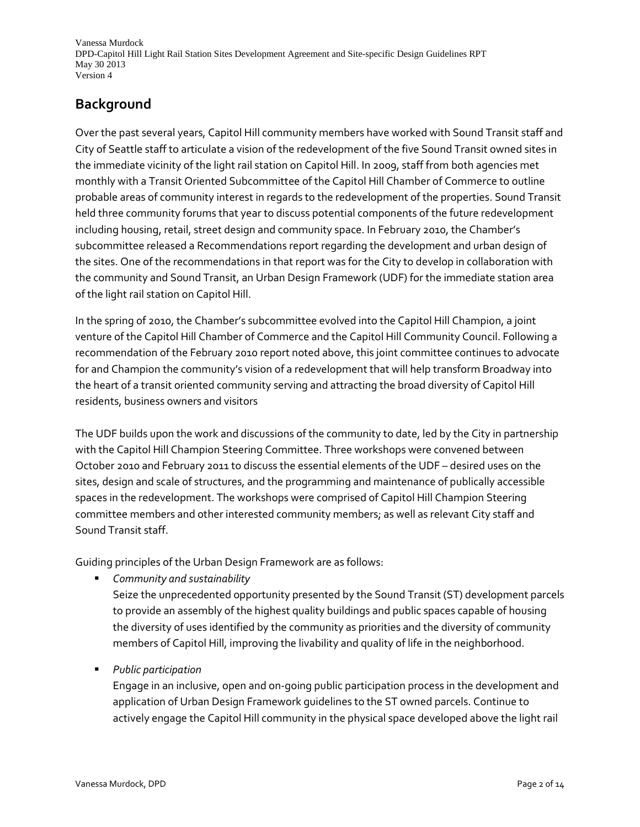# **Background**

Over the past several years, Capitol Hill community members have worked with Sound Transit staff and City of Seattle staff to articulate a vision of the redevelopment of the five Sound Transit owned sites in the immediate vicinity of the light rail station on Capitol Hill. In 2009, staff from both agencies met monthly with a Transit Oriented Subcommittee of the Capitol Hill Chamber of Commerce to outline probable areas of community interest in regards to the redevelopment of the properties. Sound Transit held three community forums that year to discuss potential components of the future redevelopment including housing, retail, street design and community space. In February 2010, the Chamber's subcommittee released a Recommendations report regarding the development and urban design of the sites. One of the recommendations in that report was for the City to develop in collaboration with the community and Sound Transit, an Urban Design Framework (UDF) for the immediate station area of the light rail station on Capitol Hill.

In the spring of 2010, the Chamber's subcommittee evolved into the Capitol Hill Champion, a joint venture of the Capitol Hill Chamber of Commerce and the Capitol Hill Community Council. Following a recommendation of the February 2010 report noted above, this joint committee continues to advocate for and Champion the community's vision of a redevelopment that will help transform Broadway into the heart of a transit oriented community serving and attracting the broad diversity of Capitol Hill residents, business owners and visitors

The UDF builds upon the work and discussions of the community to date, led by the City in partnership with the Capitol Hill Champion Steering Committee. Three workshops were convened between October 2010 and February 2011 to discuss the essential elements of the UDF – desired uses on the sites, design and scale of structures, and the programming and maintenance of publically accessible spaces in the redevelopment. The workshops were comprised of Capitol Hill Champion Steering committee members and other interested community members; as well as relevant City staff and Sound Transit staff.

Guiding principles of the Urban Design Framework are as follows:

*Community and sustainability*

Seize the unprecedented opportunity presented by the Sound Transit (ST) development parcels to provide an assembly of the highest quality buildings and public spaces capable of housing the diversity of uses identified by the community as priorities and the diversity of community members of Capitol Hill, improving the livability and quality of life in the neighborhood.

*Public participation*

Engage in an inclusive, open and on-going public participation process in the development and application of Urban Design Framework guidelines to the ST owned parcels. Continue to actively engage the Capitol Hill community in the physical space developed above the light rail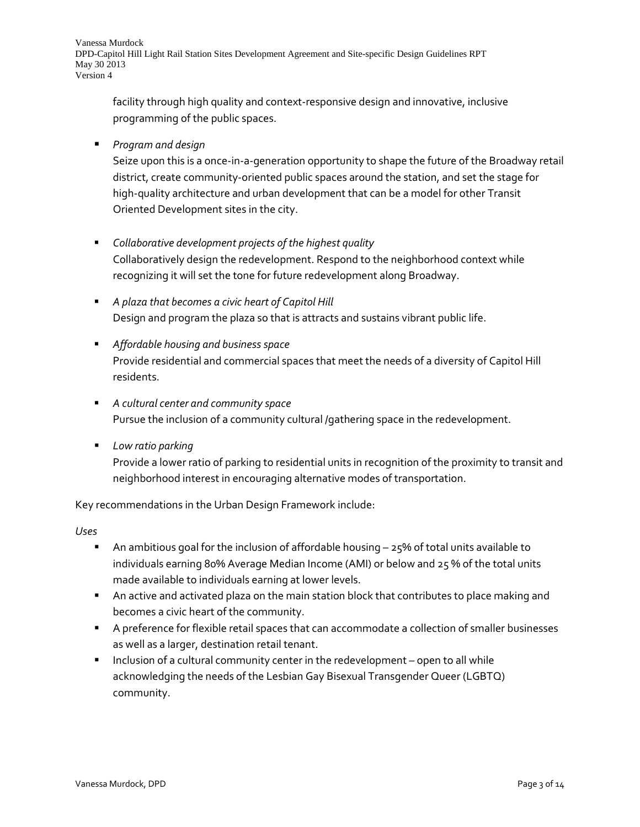facility through high quality and context-responsive design and innovative, inclusive programming of the public spaces.

*Program and design*

Seize upon this is a once-in-a-generation opportunity to shape the future of the Broadway retail district, create community-oriented public spaces around the station, and set the stage for high-quality architecture and urban development that can be a model for other Transit Oriented Development sites in the city.

- *Collaborative development projects of the highest quality* Collaboratively design the redevelopment. Respond to the neighborhood context while recognizing it will set the tone for future redevelopment along Broadway.
- *A plaza that becomes a civic heart of Capitol Hill* Design and program the plaza so that is attracts and sustains vibrant public life.
- *Affordable housing and business space* Provide residential and commercial spaces that meet the needs of a diversity of Capitol Hill residents.
- *A cultural center and community space* Pursue the inclusion of a community cultural /gathering space in the redevelopment.
- *Low ratio parking*

Provide a lower ratio of parking to residential units in recognition of the proximity to transit and neighborhood interest in encouraging alternative modes of transportation.

Key recommendations in the Urban Design Framework include:

*Uses*

- An ambitious goal for the inclusion of affordable housing  $-25%$  of total units available to individuals earning 80% Average Median Income (AMI) or below and 25 % of the total units made available to individuals earning at lower levels.
- An active and activated plaza on the main station block that contributes to place making and becomes a civic heart of the community.
- A preference for flexible retail spaces that can accommodate a collection of smaller businesses as well as a larger, destination retail tenant.
- **Inclusion of a cultural community center in the redevelopment open to all while** acknowledging the needs of the Lesbian Gay Bisexual Transgender Queer (LGBTQ) community.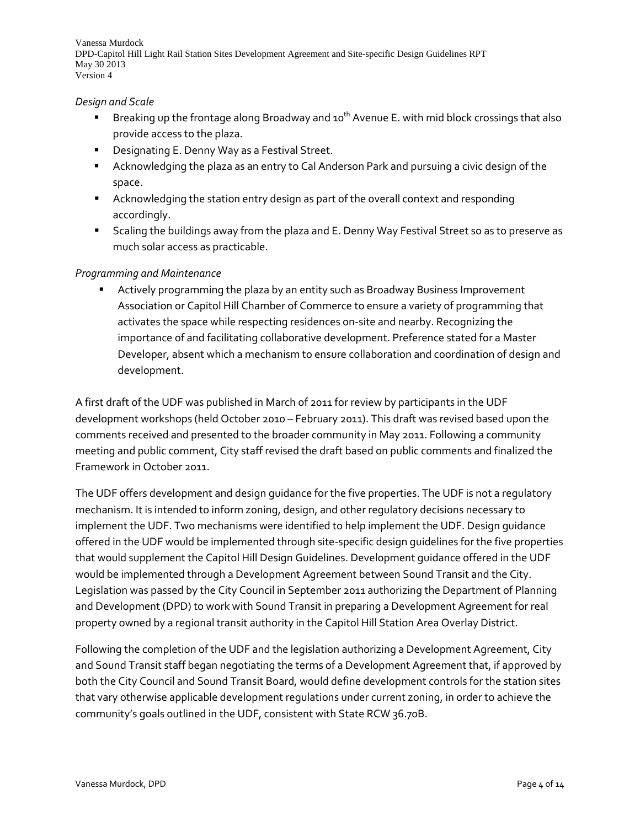#### *Design and Scale*

- **Breaking up the frontage along Broadway and 10<sup>th</sup> Avenue E. with mid block crossings that also** provide access to the plaza.
- **Designating E. Denny Way as a Festival Street.**
- Acknowledging the plaza as an entry to Cal Anderson Park and pursuing a civic design of the space.
- Acknowledging the station entry design as part of the overall context and responding accordingly.
- Scaling the buildings away from the plaza and E. Denny Way Festival Street so as to preserve as much solar access as practicable.

#### *Programming and Maintenance*

 Actively programming the plaza by an entity such as Broadway Business Improvement Association or Capitol Hill Chamber of Commerce to ensure a variety of programming that activates the space while respecting residences on-site and nearby. Recognizing the importance of and facilitating collaborative development. Preference stated for a Master Developer, absent which a mechanism to ensure collaboration and coordination of design and development.

A first draft of the UDF was published in March of 2011 for review by participants in the UDF development workshops (held October 2010 – February 2011). This draft was revised based upon the comments received and presented to the broader community in May 2011. Following a community meeting and public comment, City staff revised the draft based on public comments and finalized the Framework in October 2011.

The UDF offers development and design guidance for the five properties. The UDF is not a regulatory mechanism. It is intended to inform zoning, design, and other regulatory decisions necessary to implement the UDF. Two mechanisms were identified to help implement the UDF. Design guidance offered in the UDF would be implemented through site-specific design guidelines for the five properties that would supplement the Capitol Hill Design Guidelines. Development guidance offered in the UDF would be implemented through a Development Agreement between Sound Transit and the City. Legislation was passed by the City Council in September 2011 authorizing the Department of Planning and Development (DPD) to work with Sound Transit in preparing a Development Agreement for real property owned by a regional transit authority in the Capitol Hill Station Area Overlay District.

Following the completion of the UDF and the legislation authorizing a Development Agreement, City and Sound Transit staff began negotiating the terms of a Development Agreement that, if approved by both the City Council and Sound Transit Board, would define development controls for the station sites that vary otherwise applicable development regulations under current zoning, in order to achieve the community's goals outlined in the UDF, consistent with State RCW 36.70B.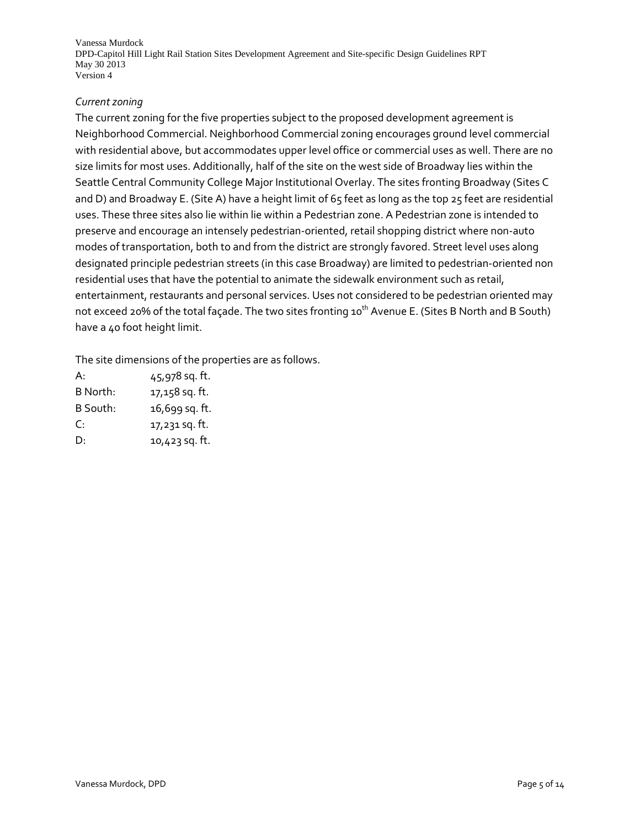#### *Current zoning*

The current zoning for the five properties subject to the proposed development agreement is Neighborhood Commercial. Neighborhood Commercial zoning encourages ground level commercial with residential above, but accommodates upper level office or commercial uses as well. There are no size limits for most uses. Additionally, half of the site on the west side of Broadway lies within the Seattle Central Community College Major Institutional Overlay. The sites fronting Broadway (Sites C and D) and Broadway E. (Site A) have a height limit of 65 feet as long as the top 25 feet are residential uses. These three sites also lie within lie within a Pedestrian zone. A Pedestrian zone is intended to preserve and encourage an intensely pedestrian-oriented, retail shopping district where non-auto modes of transportation, both to and from the district are strongly favored. Street level uses along designated principle pedestrian streets (in this case Broadway) are limited to pedestrian-oriented non residential uses that have the potential to animate the sidewalk environment such as retail, entertainment, restaurants and personal services. Uses not considered to be pedestrian oriented may not exceed 20% of the total façade. The two sites fronting 10<sup>th</sup> Avenue E. (Sites B North and B South) have a 40 foot height limit.

The site dimensions of the properties are as follows.

| A:       | 45,978 sq. ft. |
|----------|----------------|
| B North: | 17,158 sq. ft. |
| B South: | 16,699 sq. ft. |
| C:       | 17,231 sq. ft. |
| D.       | 10,423 sq. ft. |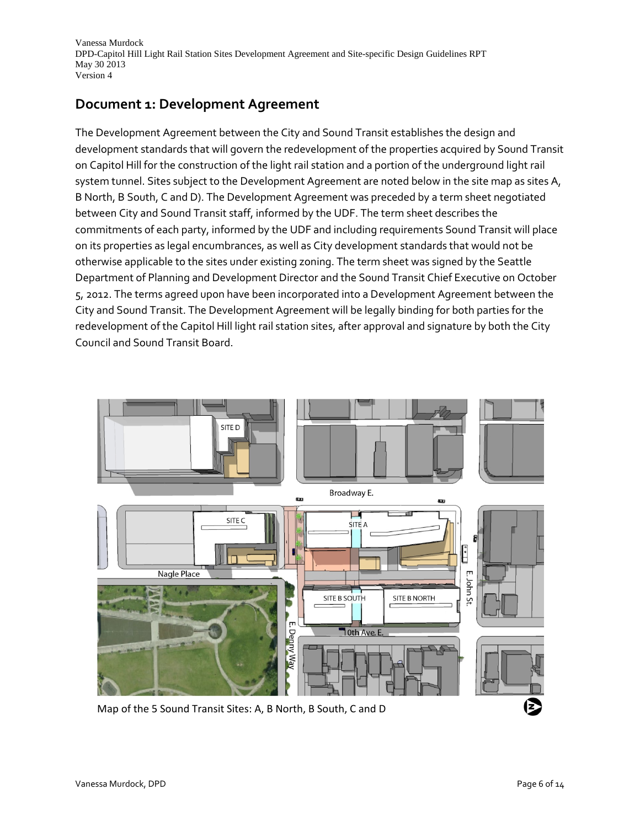## **Document 1: Development Agreement**

The Development Agreement between the City and Sound Transit establishes the design and development standards that will govern the redevelopment of the properties acquired by Sound Transit on Capitol Hill for the construction of the light rail station and a portion of the underground light rail system tunnel. Sites subject to the Development Agreement are noted below in the site map as sites A, B North, B South, C and D). The Development Agreement was preceded by a term sheet negotiated between City and Sound Transit staff, informed by the UDF. The term sheet describes the commitments of each party, informed by the UDF and including requirements Sound Transit will place on its properties as legal encumbrances, as well as City development standards that would not be otherwise applicable to the sites under existing zoning. The term sheet was signed by the Seattle Department of Planning and Development Director and the Sound Transit Chief Executive on October 5, 2012. The terms agreed upon have been incorporated into a Development Agreement between the City and Sound Transit. The Development Agreement will be legally binding for both parties for the redevelopment of the Capitol Hill light rail station sites, after approval and signature by both the City Council and Sound Transit Board.



Map of the 5 Sound Transit Sites: A, B North, B South, C and D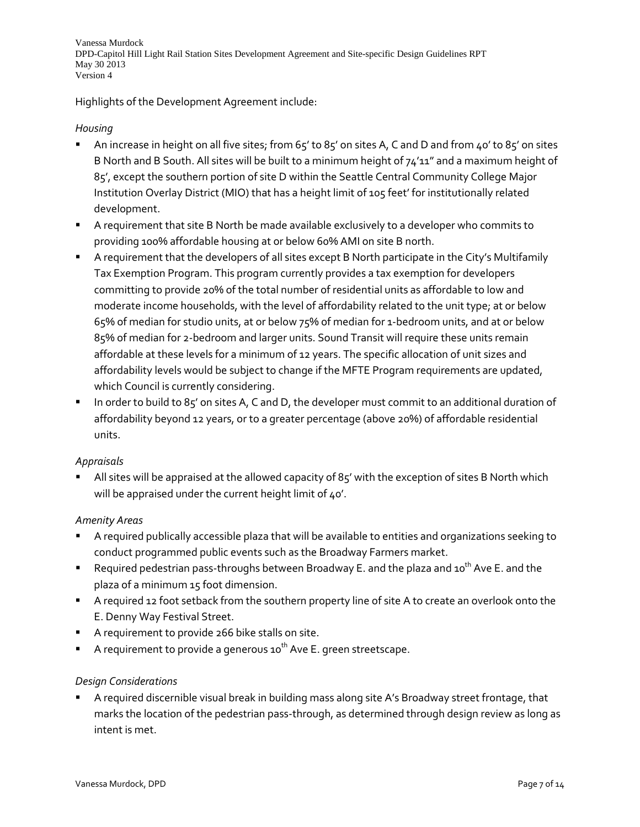Highlights of the Development Agreement include:

#### *Housing*

- An increase in height on all five sites; from 65' to 85' on sites A, C and D and from 40' to 85' on sites B North and B South. All sites will be built to a minimum height of  $74'11''$  and a maximum height of 85', except the southern portion of site D within the Seattle Central Community College Major Institution Overlay District (MIO) that has a height limit of 105 feet' for institutionally related development.
- A requirement that site B North be made available exclusively to a developer who commits to providing 100% affordable housing at or below 60% AMI on site B north.
- A requirement that the developers of all sites except B North participate in the City's Multifamily Tax Exemption Program. This program currently provides a tax exemption for developers committing to provide 20% of the total number of residential units as affordable to low and moderate income households, with the level of affordability related to the unit type; at or below 65% of median for studio units, at or below 75% of median for 1-bedroom units, and at or below 85% of median for 2-bedroom and larger units. Sound Transit will require these units remain affordable at these levels for a minimum of 12 years. The specific allocation of unit sizes and affordability levels would be subject to change if the MFTE Program requirements are updated, which Council is currently considering.
- In order to build to 85' on sites A, C and D, the developer must commit to an additional duration of affordability beyond 12 years, or to a greater percentage (above 20%) of affordable residential units.

## *Appraisals*

 All sites will be appraised at the allowed capacity of 85' with the exception of sites B North which will be appraised under the current height limit of 40'.

## *Amenity Areas*

- A required publically accessible plaza that will be available to entities and organizations seeking to conduct programmed public events such as the Broadway Farmers market.
- **P** Required pedestrian pass-throughs between Broadway E. and the plaza and  $10^{th}$  Ave E. and the plaza of a minimum 15 foot dimension.
- A required 12 foot setback from the southern property line of site A to create an overlook onto the E. Denny Way Festival Street.
- A requirement to provide 266 bike stalls on site.
- A requirement to provide a generous  $10^{th}$  Ave E. green streetscape.

## *Design Considerations*

 A required discernible visual break in building mass along site A's Broadway street frontage, that marks the location of the pedestrian pass-through, as determined through design review as long as intent is met.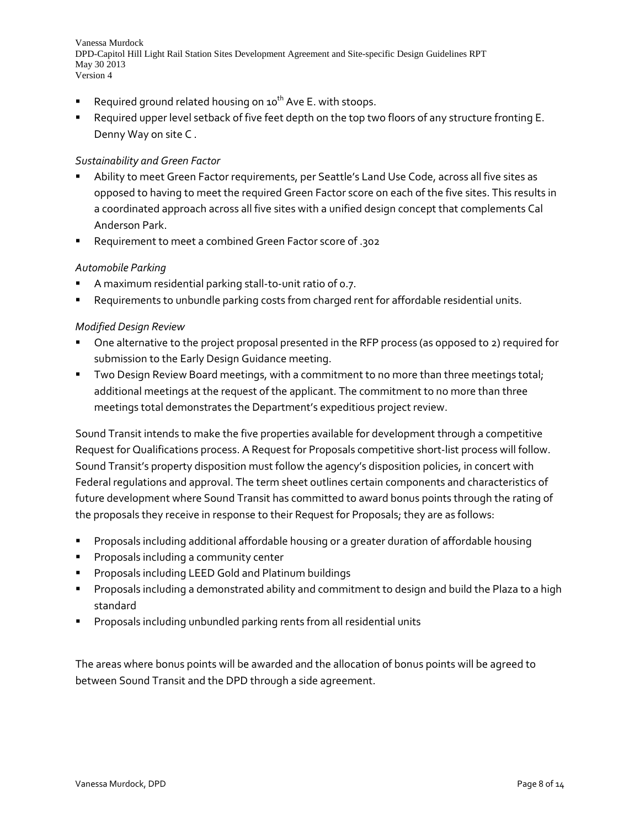- Required ground related housing on  $10^{th}$  Ave E. with stoops.
- Required upper level setback of five feet depth on the top two floors of any structure fronting E. Denny Way on site C .

#### *Sustainability and Green Factor*

- Ability to meet Green Factor requirements, per Seattle's Land Use Code, across all five sites as opposed to having to meet the required Green Factor score on each of the five sites. This results in a coordinated approach across all five sites with a unified design concept that complements Cal Anderson Park.
- Requirement to meet a combined Green Factor score of .302

#### *Automobile Parking*

- A maximum residential parking stall-to-unit ratio of 0.7.
- Requirements to unbundle parking costs from charged rent for affordable residential units.

#### *Modified Design Review*

- One alternative to the project proposal presented in the RFP process (as opposed to 2) required for submission to the Early Design Guidance meeting.
- **Two Design Review Board meetings, with a commitment to no more than three meetings total;** additional meetings at the request of the applicant. The commitment to no more than three meetings total demonstrates the Department's expeditious project review.

Sound Transit intends to make the five properties available for development through a competitive Request for Qualifications process. A Request for Proposals competitive short-list process will follow. Sound Transit's property disposition must follow the agency's disposition policies, in concert with Federal regulations and approval. The term sheet outlines certain components and characteristics of future development where Sound Transit has committed to award bonus points through the rating of the proposals they receive in response to their Request for Proposals; they are as follows:

- Proposals including additional affordable housing or a greater duration of affordable housing
- Proposals including a community center
- Proposals including LEED Gold and Platinum buildings
- Proposals including a demonstrated ability and commitment to design and build the Plaza to a high standard
- Proposals including unbundled parking rents from all residential units

The areas where bonus points will be awarded and the allocation of bonus points will be agreed to between Sound Transit and the DPD through a side agreement.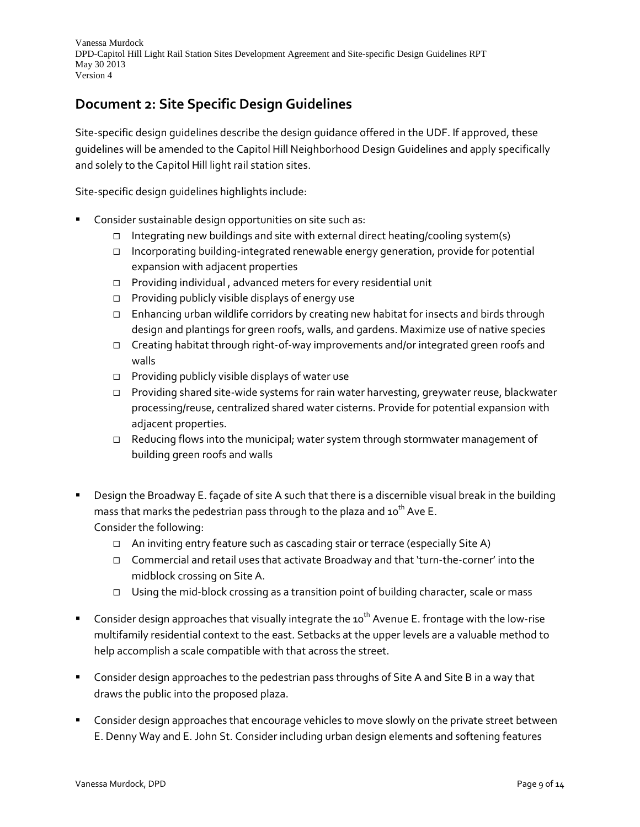# **Document 2: Site Specific Design Guidelines**

Site-specific design guidelines describe the design guidance offered in the UDF. If approved, these guidelines will be amended to the Capitol Hill Neighborhood Design Guidelines and apply specifically and solely to the Capitol Hill light rail station sites.

Site-specific design guidelines highlights include:

- Consider sustainable design opportunities on site such as:
	- Integrating new buildings and site with external direct heating/cooling system(s)
	- Incorporating building-integrated renewable energy generation, provide for potential expansion with adjacent properties
	- $\Box$  Providing individual, advanced meters for every residential unit
	- $\Box$  Providing publicly visible displays of energy use
	- $\Box$  Enhancing urban wildlife corridors by creating new habitat for insects and birds through design and plantings for green roofs, walls, and gardens. Maximize use of native species
	- Creating habitat through right-of-way improvements and/or integrated green roofs and walls
	- $\Box$  Providing publicly visible displays of water use
	- Providing shared site-wide systems for rain water harvesting, greywater reuse, blackwater processing/reuse, centralized shared water cisterns. Provide for potential expansion with adjacent properties.
	- Reducing flows into the municipal; water system through stormwater management of building green roofs and walls
- Design the Broadway E. façade of site A such that there is a discernible visual break in the building mass that marks the pedestrian pass through to the plaza and  $10^{th}$  Ave E. Consider the following:
	- □ An inviting entry feature such as cascading stair or terrace (especially Site A)
	- Commercial and retail uses that activate Broadway and that 'turn-the-corner' into the midblock crossing on Site A.
	- $\Box$  Using the mid-block crossing as a transition point of building character, scale or mass
- Consider design approaches that visually integrate the 10<sup>th</sup> Avenue E. frontage with the low-rise multifamily residential context to the east. Setbacks at the upper levels are a valuable method to help accomplish a scale compatible with that across the street.
- **Consider design approaches to the pedestrian pass throughs of Site A and Site B in a way that** draws the public into the proposed plaza.
- Consider design approaches that encourage vehicles to move slowly on the private street between E. Denny Way and E. John St. Consider including urban design elements and softening features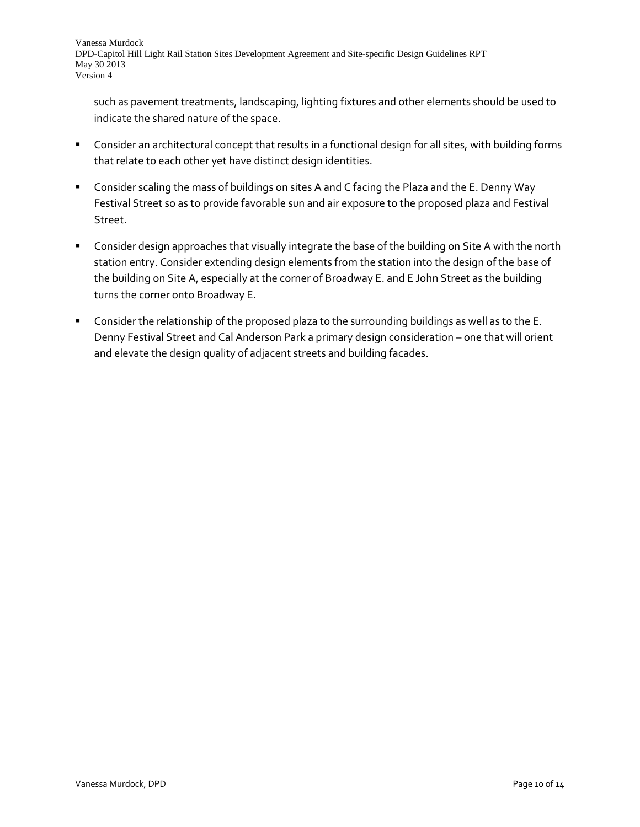such as pavement treatments, landscaping, lighting fixtures and other elements should be used to indicate the shared nature of the space.

- Consider an architectural concept that results in a functional design for all sites, with building forms that relate to each other yet have distinct design identities.
- Consider scaling the mass of buildings on sites A and C facing the Plaza and the E. Denny Way Festival Street so as to provide favorable sun and air exposure to the proposed plaza and Festival Street.
- Consider design approaches that visually integrate the base of the building on Site A with the north station entry. Consider extending design elements from the station into the design of the base of the building on Site A, especially at the corner of Broadway E. and E John Street as the building turns the corner onto Broadway E.
- **Consider the relationship of the proposed plaza to the surrounding buildings as well as to the E.** Denny Festival Street and Cal Anderson Park a primary design consideration – one that will orient and elevate the design quality of adjacent streets and building facades.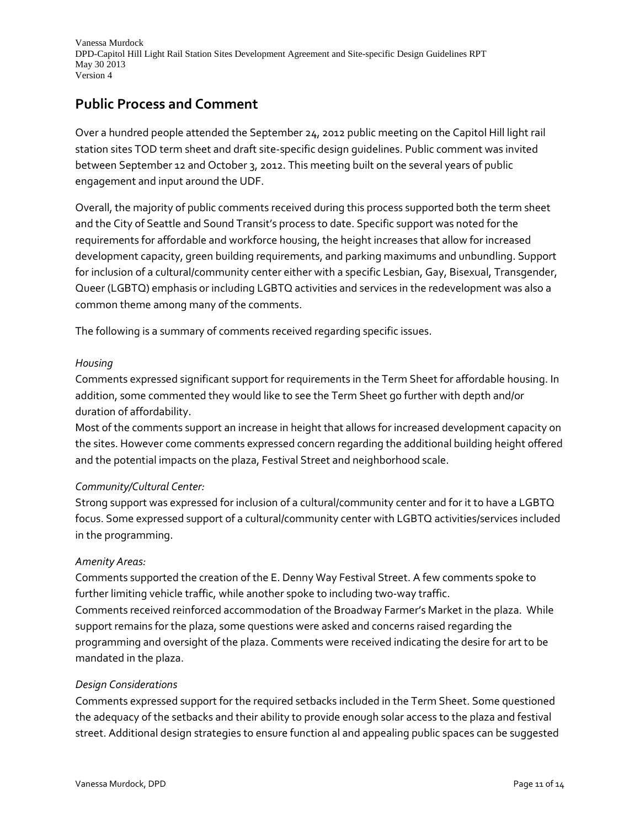## **Public Process and Comment**

Over a hundred people attended the September 24, 2012 public meeting on the Capitol Hill light rail station sites TOD term sheet and draft site-specific design guidelines. Public comment was invited between September 12 and October 3, 2012. This meeting built on the several years of public engagement and input around the UDF.

Overall, the majority of public comments received during this process supported both the term sheet and the City of Seattle and Sound Transit's process to date. Specific support was noted for the requirements for affordable and workforce housing, the height increases that allow for increased development capacity, green building requirements, and parking maximums and unbundling. Support for inclusion of a cultural/community center either with a specific Lesbian, Gay, Bisexual, Transgender, Queer (LGBTQ) emphasis or including LGBTQ activities and services in the redevelopment was also a common theme among many of the comments.

The following is a summary of comments received regarding specific issues.

#### *Housing*

Comments expressed significant support for requirements in the Term Sheet for affordable housing. In addition, some commented they would like to see the Term Sheet go further with depth and/or duration of affordability.

Most of the comments support an increase in height that allows for increased development capacity on the sites. However come comments expressed concern regarding the additional building height offered and the potential impacts on the plaza, Festival Street and neighborhood scale.

## *Community/Cultural Center:*

Strong support was expressed for inclusion of a cultural/community center and for it to have a LGBTQ focus. Some expressed support of a cultural/community center with LGBTQ activities/services included in the programming.

## *Amenity Areas:*

Comments supported the creation of the E. Denny Way Festival Street. A few comments spoke to further limiting vehicle traffic, while another spoke to including two-way traffic.

Comments received reinforced accommodation of the Broadway Farmer's Market in the plaza. While support remains for the plaza, some questions were asked and concerns raised regarding the programming and oversight of the plaza. Comments were received indicating the desire for art to be mandated in the plaza.

#### *Design Considerations*

Comments expressed support for the required setbacks included in the Term Sheet. Some questioned the adequacy of the setbacks and their ability to provide enough solar access to the plaza and festival street. Additional design strategies to ensure function al and appealing public spaces can be suggested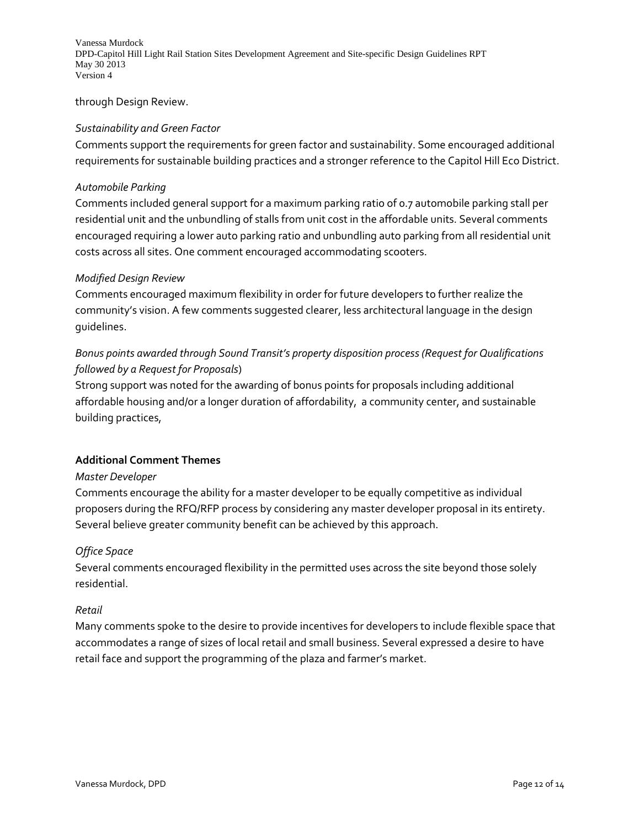through Design Review.

#### *Sustainability and Green Factor*

Comments support the requirements for green factor and sustainability. Some encouraged additional requirements for sustainable building practices and a stronger reference to the Capitol Hill Eco District.

#### *Automobile Parking*

Comments included general support for a maximum parking ratio of 0.7 automobile parking stall per residential unit and the unbundling of stalls from unit cost in the affordable units. Several comments encouraged requiring a lower auto parking ratio and unbundling auto parking from all residential unit costs across all sites. One comment encouraged accommodating scooters.

#### *Modified Design Review*

Comments encouraged maximum flexibility in order for future developers to further realize the community's vision. A few comments suggested clearer, less architectural language in the design guidelines.

## *Bonus points awarded through Sound Transit's property disposition process (Request for Qualifications followed by a Request for Proposals*)

Strong support was noted for the awarding of bonus points for proposals including additional affordable housing and/or a longer duration of affordability, a community center, and sustainable building practices,

#### **Additional Comment Themes**

#### *Master Developer*

Comments encourage the ability for a master developer to be equally competitive as individual proposers during the RFQ/RFP process by considering any master developer proposal in its entirety. Several believe greater community benefit can be achieved by this approach.

#### *Office Space*

Several comments encouraged flexibility in the permitted uses across the site beyond those solely residential.

#### *Retail*

Many comments spoke to the desire to provide incentives for developers to include flexible space that accommodates a range of sizes of local retail and small business. Several expressed a desire to have retail face and support the programming of the plaza and farmer's market.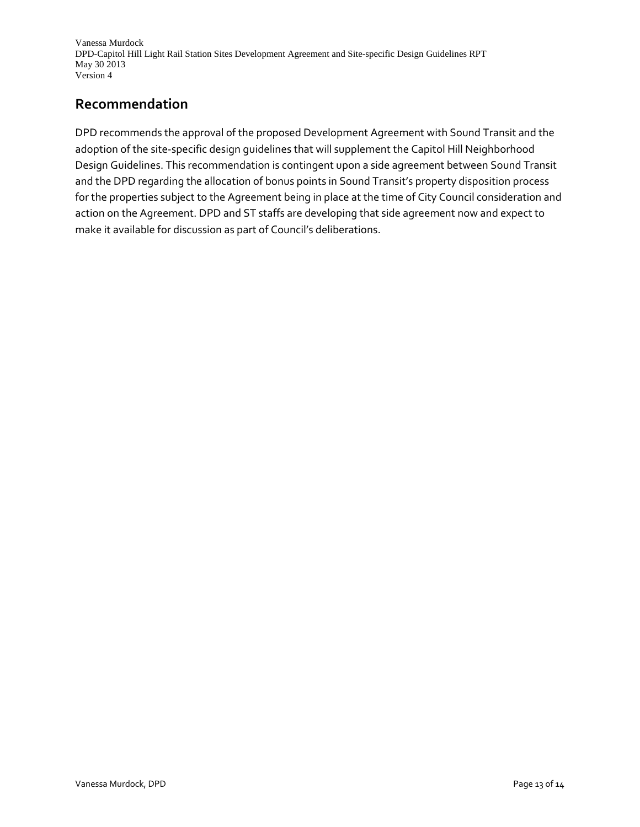# **Recommendation**

DPD recommends the approval of the proposed Development Agreement with Sound Transit and the adoption of the site-specific design guidelines that will supplement the Capitol Hill Neighborhood Design Guidelines. This recommendation is contingent upon a side agreement between Sound Transit and the DPD regarding the allocation of bonus points in Sound Transit's property disposition process for the properties subject to the Agreement being in place at the time of City Council consideration and action on the Agreement. DPD and ST staffs are developing that side agreement now and expect to make it available for discussion as part of Council's deliberations.